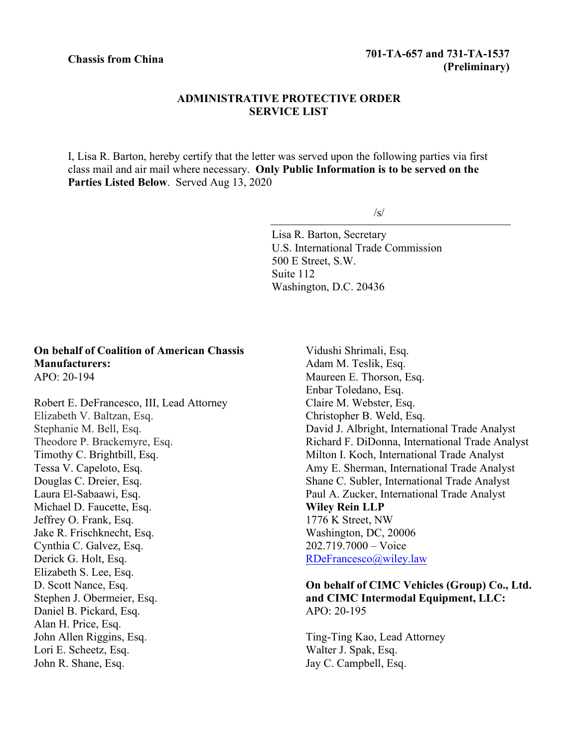## **ADMINISTRATIVE PROTECTIVE ORDER SERVICE LIST**

I, Lisa R. Barton, hereby certify that the letter was served upon the following parties via first class mail and air mail where necessary. **Only Public Information is to be served on the Parties Listed Below**. Served Aug 13, 2020

/s/

Lisa R. Barton, Secretary U.S. International Trade Commission 500 E Street, S.W. Suite 112 Washington, D.C. 20436

## **On behalf of Coalition of American Chassis Manufacturers:** APO: 20-194

Robert E. DeFrancesco, III, Lead Attorney Elizabeth V. Baltzan, Esq. Stephanie M. Bell, Esq. Theodore P. Brackemyre, Esq. Timothy C. Brightbill, Esq. Tessa V. Capeloto, Esq. Douglas C. Dreier, Esq. Laura El‐Sabaawi, Esq. Michael D. Faucette, Esq. Jeffrey O. Frank, Esq. Jake R. Frischknecht, Esq. Cynthia C. Galvez, Esq. Derick G. Holt, Esq. Elizabeth S. Lee, Esq. D. Scott Nance, Esq. Stephen J. Obermeier, Esq. Daniel B. Pickard, Esq. Alan H. Price, Esq. John Allen Riggins, Esq. Lori E. Scheetz, Esq. John R. Shane, Esq.

Vidushi Shrimali, Esq. Adam M. Teslik, Esq. Maureen E. Thorson, Esq. Enbar Toledano, Esq. Claire M. Webster, Esq. Christopher B. Weld, Esq. David J. Albright, International Trade Analyst Richard F. DiDonna, International Trade Analyst Milton I. Koch, International Trade Analyst Amy E. Sherman, International Trade Analyst Shane C. Subler, International Trade Analyst Paul A. Zucker, International Trade Analyst **Wiley Rein LLP** 1776 K Street, NW Washington, DC, 20006 202.719.7000 – Voice [RDeFrancesco@wiley.law](mailto:RDeFrancesco@wiley.law)

## **On behalf of CIMC Vehicles (Group) Co., Ltd. and CIMC Intermodal Equipment, LLC:** APO: 20-195

Ting-Ting Kao, Lead Attorney Walter J. Spak, Esq. Jay C. Campbell, Esq.